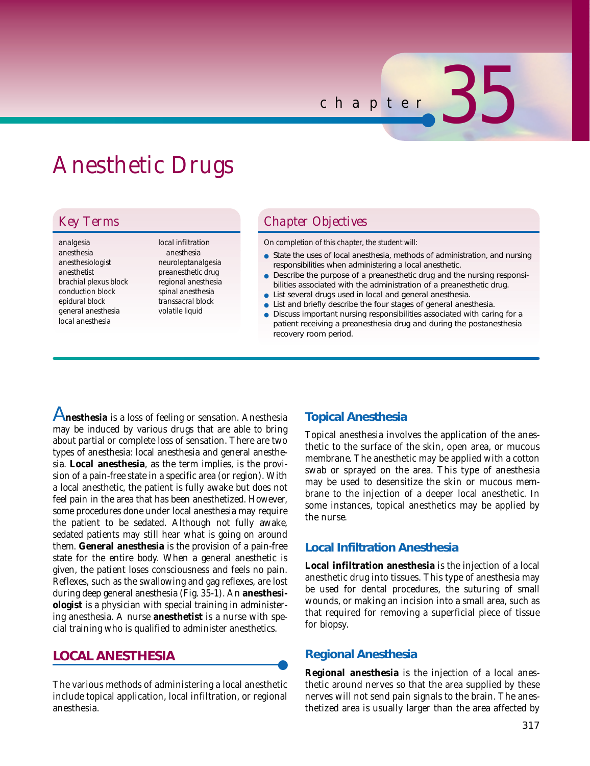*chapter* 3

# Anesthetic Drugs

*analgesia anesthesia anesthesiologist anesthetist brachial plexus block conduction block epidural block general anesthesia local anesthesia*

*local infiltration anesthesia neuroleptanalgesia preanesthetic drug regional anesthesia spinal anesthesia transsacral block volatile liquid*

### *Key Terms Chapter Objectives*

*On completion of this chapter, the student will:*

- State the uses of local anesthesia, methods of administration, and nursing responsibilities when administering a local anesthetic.
- Describe the purpose of a preanesthetic drug and the nursing responsibilities associated with the administration of a preanesthetic drug.
- List several drugs used in local and general anesthesia.
- List and briefly describe the four stages of general anesthesia.
- Discuss important nursing responsibilities associated with caring for a patient receiving a preanesthesia drug and during the postanesthesia recovery room period.

A**nesthesia** is a loss of feeling or sensation. Anesthesia may be induced by various drugs that are able to bring about partial or complete loss of sensation. There are two types of anesthesia: local anesthesia and general anesthesia. **Local anesthesia**, as the term implies, is the provision of a pain-free state in a specific area (or region). With a local anesthetic, the patient is fully awake but does not feel pain in the area that has been anesthetized. However, some procedures done under local anesthesia may require the patient to be sedated. Although not fully awake, sedated patients may still hear what is going on around them. **General anesthesia** is the provision of a pain-free state for the entire body. When a general anesthetic is given, the patient loses consciousness and feels no pain. Reflexes, such as the swallowing and gag reflexes, are lost during deep general anesthesia (Fig. 35-1). An **anesthesiologist** is a physician with special training in administering anesthesia. A nurse **anesthetist** is a nurse with special training who is qualified to administer anesthetics.

#### **LOCAL ANESTHESIA**

The various methods of administering a local anesthetic include topical application, local infiltration, or regional anesthesia.

#### **Topical Anesthesia**

Topical anesthesia involves the application of the anesthetic to the surface of the skin, open area, or mucous membrane. The anesthetic may be applied with a cotton swab or sprayed on the area. This type of anesthesia may be used to desensitize the skin or mucous membrane to the injection of a deeper local anesthetic. In some instances, topical anesthetics may be applied by the nurse.

#### **Local Infiltration Anesthesia**

**Local infiltration anesthesia** is the injection of a local anesthetic drug into tissues. This type of anesthesia may be used for dental procedures, the suturing of small wounds, or making an incision into a small area, such as that required for removing a superficial piece of tissue for biopsy.

#### **Regional Anesthesia**

**Regional anesthesia** is the injection of a local anesthetic around nerves so that the area supplied by these nerves will not send pain signals to the brain. The anesthetized area is usually larger than the area affected by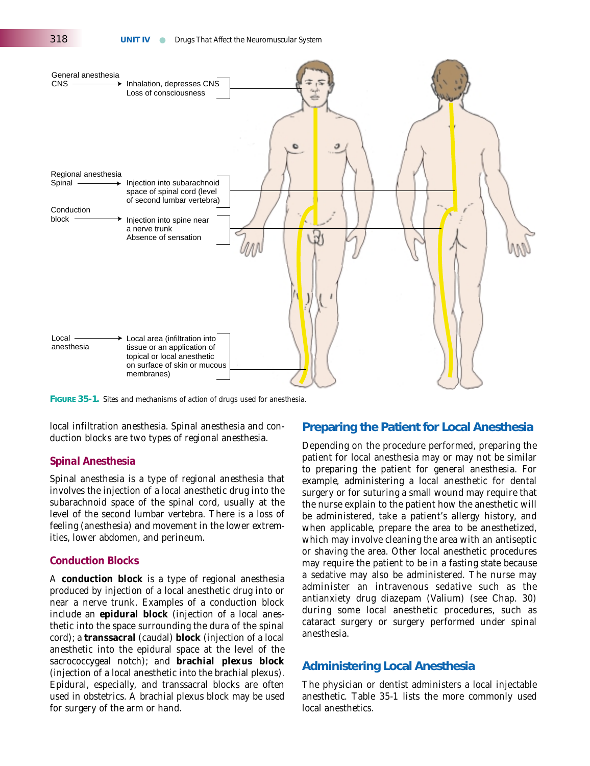

**FIGURE 35-1.** Sites and mechanisms of action of drugs used for anesthesia.

local infiltration anesthesia. Spinal anesthesia and conduction blocks are two types of regional anesthesia.

#### *Spinal Anesthesia*

Spinal anesthesia is a type of regional anesthesia that involves the injection of a local anesthetic drug into the subarachnoid space of the spinal cord, usually at the level of the second lumbar vertebra. There is a loss of feeling (anesthesia) and movement in the lower extremities, lower abdomen, and perineum.

#### *Conduction Blocks*

A **conduction block** is a type of regional anesthesia produced by injection of a local anesthetic drug into or near a nerve trunk. Examples of a conduction block include an **epidural block** (injection of a local anesthetic into the space surrounding the dura of the spinal cord); a **transsacral** (caudal) **block** (injection of a local anesthetic into the epidural space at the level of the sacrococcygeal notch); and **brachial plexus block** (injection of a local anesthetic into the brachial plexus). Epidural, especially, and transsacral blocks are often used in obstetrics. A brachial plexus block may be used for surgery of the arm or hand.

#### **Preparing the Patient for Local Anesthesia**

Depending on the procedure performed, preparing the patient for local anesthesia may or may not be similar to preparing the patient for general anesthesia. For example, administering a local anesthetic for dental surgery or for suturing a small wound may require that the nurse explain to the patient how the anesthetic will be administered, take a patient's allergy history, and when applicable, prepare the area to be anesthetized, which may involve cleaning the area with an antiseptic or shaving the area. Other local anesthetic procedures may require the patient to be in a fasting state because a sedative may also be administered. The nurse may administer an intravenous sedative such as the antianxiety drug diazepam (Valium) (see Chap. 30) during some local anesthetic procedures, such as cataract surgery or surgery performed under spinal anesthesia.

#### **Administering Local Anesthesia**

The physician or dentist administers a local injectable anesthetic. Table 35-1 lists the more commonly used local anesthetics.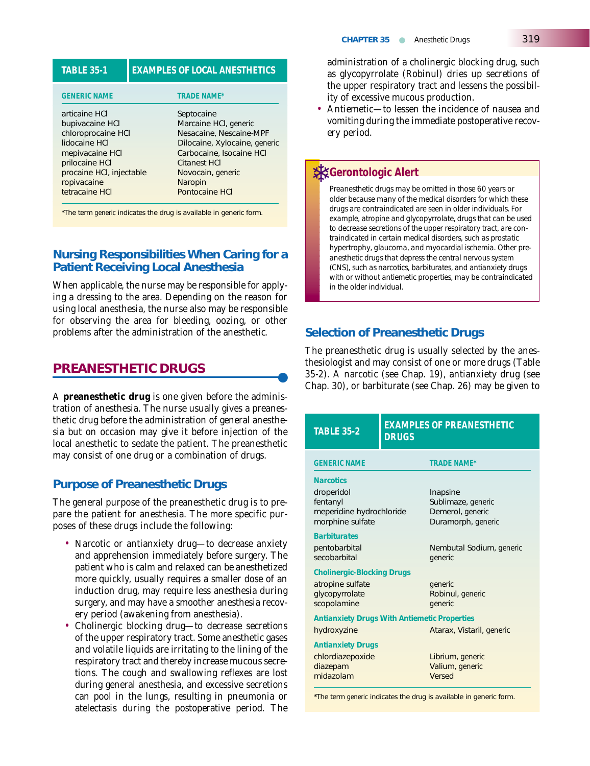## **GENERIC NAME TRADE NAME\* TABLE 35-1 EXAMPLES OF LOCAL ANESTHETICS**

| articaine HCI            | Septocaine                    |
|--------------------------|-------------------------------|
| bupivacaine HCI          | Marcaine HCI, generic         |
| chloroprocaine HCI       | Nesacaine, Nescaine-MPF       |
| lidocaine HCI            | Dilocaine, Xylocaine, generic |
| mepivacaine HCI          | Carbocaine, Isocaine HCI      |
| prilocaine HCI           | <b>Citanest HCI</b>           |
| procaine HCl, injectable | Novocain, generic             |
| ropivacaine              | Naropin                       |
| tetracaine HCI           | <b>Pontocaine HCI</b>         |
|                          |                               |

\*The term *generic* indicates the drug is available in generic form.

#### **Nursing Responsibilities When Caring for a Patient Receiving Local Anesthesia**

When applicable, the nurse may be responsible for applying a dressing to the area. Depending on the reason for using local anesthesia, the nurse also may be responsible for observing the area for bleeding, oozing, or other problems after the administration of the anesthetic.

#### **PREANESTHETIC DRUGS**

A **preanesthetic drug** is one given before the administration of anesthesia. The nurse usually gives a preanesthetic drug before the administration of general anesthesia but on occasion may give it before injection of the local anesthetic to sedate the patient. The preanesthetic may consist of one drug or a combination of drugs.

#### **Purpose of Preanesthetic Drugs**

The general purpose of the preanesthetic drug is to prepare the patient for anesthesia. The more specific purposes of these drugs include the following:

- Narcotic or antianxiety drug—to decrease anxiety and apprehension immediately before surgery. The patient who is calm and relaxed can be anesthetized more quickly, usually requires a smaller dose of an induction drug, may require less anesthesia during surgery, and may have a smoother anesthesia recovery period (awakening from anesthesia).
- Cholinergic blocking drug—to decrease secretions of the upper respiratory tract. Some anesthetic gases and volatile liquids are irritating to the lining of the respiratory tract and thereby increase mucous secretions. The cough and swallowing reflexes are lost during general anesthesia, and excessive secretions can pool in the lungs, resulting in pneumonia or atelectasis during the postoperative period. The

administration of a cholinergic blocking drug, such as glycopyrrolate (Robinul) dries up secretions of the upper respiratory tract and lessens the possibility of excessive mucous production.

• Antiemetic—to lessen the incidence of nausea and vomiting during the immediate postoperative recovery period.

#### **<del></del> <del></del>***<b> Gerontologic Alert*

*Preanesthetic drugs may be omitted in those 60 years or older because many of the medical disorders for which these drugs are contraindicated are seen in older individuals. For example, atropine and glycopyrrolate, drugs that can be used to decrease secretions of the upper respiratory tract, are contraindicated in certain medical disorders, such as prostatic hypertrophy, glaucoma, and myocardial ischemia. Other preanesthetic drugs that depress the central nervous system (CNS), such as narcotics, barbiturates, and antianxiety drugs with or without antiemetic properties, may be contraindicated in the older individual.*

#### **Selection of Preanesthetic Drugs**

The preanesthetic drug is usually selected by the anesthesiologist and may consist of one or more drugs (Table 35-2). A narcotic (see Chap. 19), antianxiety drug (see Chap. 30), or barbiturate (see Chap. 26) may be given to

| <b>TABLE 35-2</b>                                   | <b>EXAMPLES OF PREANESTHETIC</b><br><b>DRUGS</b> |  |
|-----------------------------------------------------|--------------------------------------------------|--|
| <b>GENERIC NAME</b>                                 | <b>TRADE NAME*</b>                               |  |
| <b>Narcotics</b>                                    |                                                  |  |
| droperidol                                          | Inapsine                                         |  |
| fentanyl                                            | Sublimaze, generic                               |  |
| meperidine hydrochloride                            | Demerol, generic                                 |  |
| morphine sulfate                                    | Duramorph, generic                               |  |
| <b>Barbiturates</b>                                 |                                                  |  |
| pentobarbital                                       | Nembutal Sodium, generic                         |  |
| secobarbital                                        | generic                                          |  |
| <b>Cholinergic-Blocking Drugs</b>                   |                                                  |  |
| atropine sulfate                                    | generic                                          |  |
| qlycopyrrolate                                      | Robinul, generic                                 |  |
| scopolamine                                         | generic                                          |  |
| <b>Antianxiety Drugs With Antiemetic Properties</b> |                                                  |  |
| hydroxyzine                                         | Atarax, Vistaril, generic                        |  |
| <b>Antianxiety Drugs</b>                            |                                                  |  |
| chlordiazepoxide                                    | Librium, generic                                 |  |
| diazepam                                            | Valium, generic                                  |  |
| midazolam                                           | <b>Versed</b>                                    |  |

\*The term *generic* indicates the drug is available in generic form.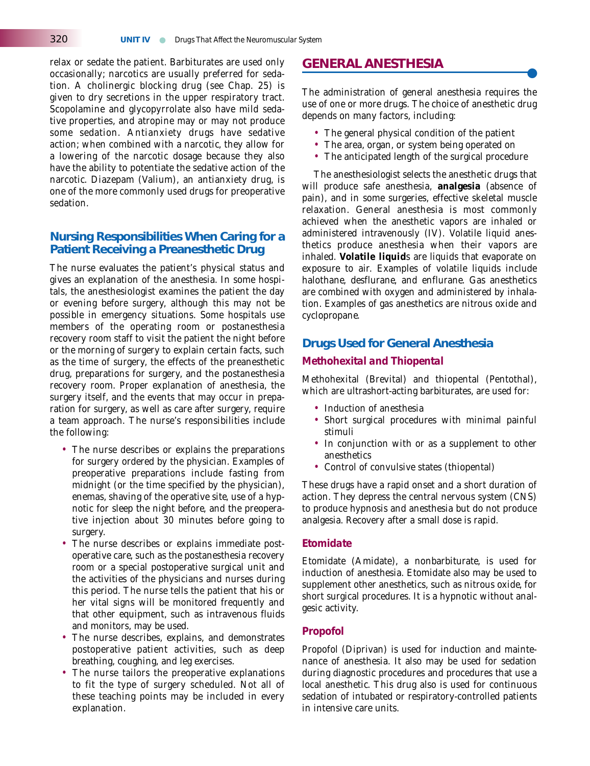relax or sedate the patient. Barbiturates are used only occasionally; narcotics are usually preferred for sedation. A cholinergic blocking drug (see Chap. 25) is given to dry secretions in the upper respiratory tract. Scopolamine and glycopyrrolate also have mild sedative properties, and atropine may or may not produce some sedation. Antianxiety drugs have sedative action; when combined with a narcotic, they allow for a lowering of the narcotic dosage because they also have the ability to potentiate the sedative action of the narcotic. Diazepam (Valium), an antianxiety drug, is one of the more commonly used drugs for preoperative sedation.

#### **Nursing Responsibilities When Caring for a Patient Receiving a Preanesthetic Drug**

The nurse evaluates the patient's physical status and gives an explanation of the anesthesia. In some hospitals, the anesthesiologist examines the patient the day or evening before surgery, although this may not be possible in emergency situations. Some hospitals use members of the operating room or postanesthesia recovery room staff to visit the patient the night before or the morning of surgery to explain certain facts, such as the time of surgery, the effects of the preanesthetic drug, preparations for surgery, and the postanesthesia recovery room. Proper explanation of anesthesia, the surgery itself, and the events that may occur in preparation for surgery, as well as care after surgery, require a team approach. The nurse's responsibilities include the following:

- The nurse describes or explains the preparations for surgery ordered by the physician. Examples of preoperative preparations include fasting from midnight (or the time specified by the physician), enemas, shaving of the operative site, use of a hypnotic for sleep the night before, and the preoperative injection about 30 minutes before going to surgery.
- The nurse describes or explains immediate postoperative care, such as the postanesthesia recovery room or a special postoperative surgical unit and the activities of the physicians and nurses during this period. The nurse tells the patient that his or her vital signs will be monitored frequently and that other equipment, such as intravenous fluids and monitors, may be used.
- The nurse describes, explains, and demonstrates postoperative patient activities, such as deep breathing, coughing, and leg exercises.
- The nurse tailors the preoperative explanations to fit the type of surgery scheduled. Not all of these teaching points may be included in every explanation.

#### **GENERAL ANESTHESIA**

The administration of general anesthesia requires the use of one or more drugs. The choice of anesthetic drug depends on many factors, including:

- The general physical condition of the patient
- The area, organ, or system being operated on
- The anticipated length of the surgical procedure

The anesthesiologist selects the anesthetic drugs that will produce safe anesthesia, **analgesia** (absence of pain), and in some surgeries, effective skeletal muscle relaxation. General anesthesia is most commonly achieved when the anesthetic vapors are inhaled or administered intravenously (IV). Volatile liquid anesthetics produce anesthesia when their vapors are inhaled. **Volatile liquid**s are liquids that evaporate on exposure to air. Examples of volatile liquids include halothane, desflurane, and enflurane. Gas anesthetics are combined with oxygen and administered by inhalation. Examples of gas anesthetics are nitrous oxide and cyclopropane.

### **Drugs Used for General Anesthesia** *Methohexital and Thiopental*

Methohexital (Brevital) and thiopental (Pentothal), which are ultrashort-acting barbiturates, are used for:

- Induction of anesthesia
- Short surgical procedures with minimal painful stimuli
- In conjunction with or as a supplement to other anesthetics
- Control of convulsive states (thiopental)

These drugs have a rapid onset and a short duration of action. They depress the central nervous system (CNS) to produce hypnosis and anesthesia but do not produce analgesia. Recovery after a small dose is rapid.

#### *Etomidate*

Etomidate (Amidate), a nonbarbiturate, is used for induction of anesthesia. Etomidate also may be used to supplement other anesthetics, such as nitrous oxide, for short surgical procedures. It is a hypnotic without analgesic activity.

#### *Propofol*

Propofol (Diprivan) is used for induction and maintenance of anesthesia. It also may be used for sedation during diagnostic procedures and procedures that use a local anesthetic. This drug also is used for continuous sedation of intubated or respiratory-controlled patients in intensive care units.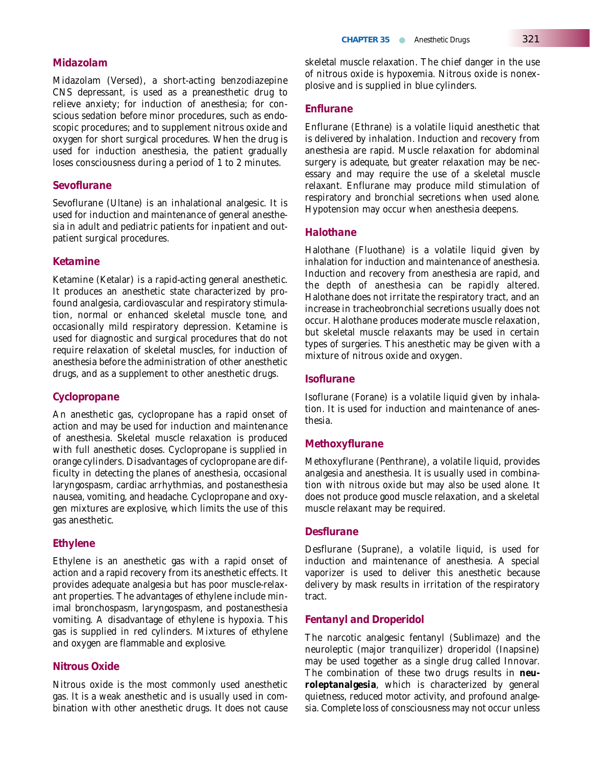#### *Midazolam*

Midazolam (Versed), a short-acting benzodiazepine CNS depressant, is used as a preanesthetic drug to relieve anxiety; for induction of anesthesia; for conscious sedation before minor procedures, such as endoscopic procedures; and to supplement nitrous oxide and oxygen for short surgical procedures. When the drug is used for induction anesthesia, the patient gradually loses consciousness during a period of 1 to 2 minutes.

#### *Sevoflurane*

Sevoflurane (Ultane) is an inhalational analgesic. It is used for induction and maintenance of general anesthesia in adult and pediatric patients for inpatient and outpatient surgical procedures.

#### *Ketamine*

Ketamine (Ketalar) is a rapid-acting general anesthetic. It produces an anesthetic state characterized by profound analgesia, cardiovascular and respiratory stimulation, normal or enhanced skeletal muscle tone, and occasionally mild respiratory depression. Ketamine is used for diagnostic and surgical procedures that do not require relaxation of skeletal muscles, for induction of anesthesia before the administration of other anesthetic drugs, and as a supplement to other anesthetic drugs.

#### *Cyclopropane*

An anesthetic gas, cyclopropane has a rapid onset of action and may be used for induction and maintenance of anesthesia. Skeletal muscle relaxation is produced with full anesthetic doses. Cyclopropane is supplied in orange cylinders. Disadvantages of cyclopropane are difficulty in detecting the planes of anesthesia, occasional laryngospasm, cardiac arrhythmias, and postanesthesia nausea, vomiting, and headache. Cyclopropane and oxygen mixtures are explosive, which limits the use of this gas anesthetic.

#### *Ethylene*

Ethylene is an anesthetic gas with a rapid onset of action and a rapid recovery from its anesthetic effects. It provides adequate analgesia but has poor muscle-relaxant properties. The advantages of ethylene include minimal bronchospasm, laryngospasm, and postanesthesia vomiting. A disadvantage of ethylene is hypoxia. This gas is supplied in red cylinders. Mixtures of ethylene and oxygen are flammable and explosive.

#### *Nitrous Oxide*

Nitrous oxide is the most commonly used anesthetic gas. It is a weak anesthetic and is usually used in combination with other anesthetic drugs. It does not cause skeletal muscle relaxation. The chief danger in the use of nitrous oxide is hypoxemia. Nitrous oxide is nonexplosive and is supplied in blue cylinders.

#### *Enflurane*

Enflurane (Ethrane) is a volatile liquid anesthetic that is delivered by inhalation. Induction and recovery from anesthesia are rapid. Muscle relaxation for abdominal surgery is adequate, but greater relaxation may be necessary and may require the use of a skeletal muscle relaxant. Enflurane may produce mild stimulation of respiratory and bronchial secretions when used alone. Hypotension may occur when anesthesia deepens.

#### *Halothane*

Halothane (Fluothane) is a volatile liquid given by inhalation for induction and maintenance of anesthesia. Induction and recovery from anesthesia are rapid, and the depth of anesthesia can be rapidly altered. Halothane does not irritate the respiratory tract, and an increase in tracheobronchial secretions usually does not occur. Halothane produces moderate muscle relaxation, but skeletal muscle relaxants may be used in certain types of surgeries. This anesthetic may be given with a mixture of nitrous oxide and oxygen.

#### *Isoflurane*

Isoflurane (Forane) is a volatile liquid given by inhalation. It is used for induction and maintenance of anesthesia.

#### *Methoxyflurane*

Methoxyflurane (Penthrane), a volatile liquid, provides analgesia and anesthesia. It is usually used in combination with nitrous oxide but may also be used alone. It does not produce good muscle relaxation, and a skeletal muscle relaxant may be required.

#### *Desflurane*

Desflurane (Suprane), a volatile liquid, is used for induction and maintenance of anesthesia. A special vaporizer is used to deliver this anesthetic because delivery by mask results in irritation of the respiratory tract.

#### *Fentanyl and Droperidol*

The narcotic analgesic fentanyl (Sublimaze) and the neuroleptic (major tranquilizer) droperidol (Inapsine) may be used together as a single drug called Innovar. The combination of these two drugs results in **neuroleptanalgesia**, which is characterized by general quietness, reduced motor activity, and profound analgesia. Complete loss of consciousness may not occur unless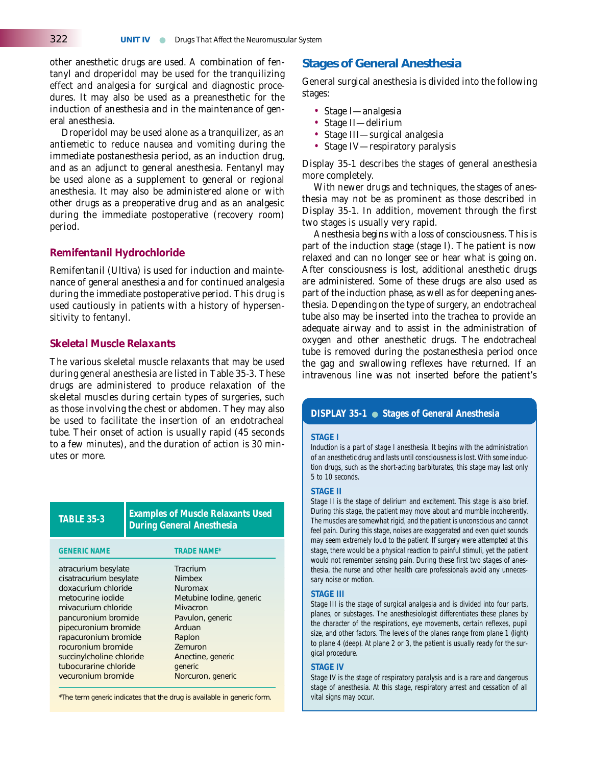other anesthetic drugs are used. A combination of fentanyl and droperidol may be used for the tranquilizing effect and analgesia for surgical and diagnostic procedures. It may also be used as a preanesthetic for the induction of anesthesia and in the maintenance of general anesthesia.

Droperidol may be used alone as a tranquilizer, as an antiemetic to reduce nausea and vomiting during the immediate postanesthesia period, as an induction drug, and as an adjunct to general anesthesia. Fentanyl may be used alone as a supplement to general or regional anesthesia. It may also be administered alone or with other drugs as a preoperative drug and as an analgesic during the immediate postoperative (recovery room) period.

#### *Remifentanil Hydrochloride*

Remifentanil (Ultiva) is used for induction and maintenance of general anesthesia and for continued analgesia during the immediate postoperative period. This drug is used cautiously in patients with a history of hypersensitivity to fentanyl.

#### *Skeletal Muscle Relaxants*

The various skeletal muscle relaxants that may be used during general anesthesia are listed in Table 35-3. These drugs are administered to produce relaxation of the skeletal muscles during certain types of surgeries, such as those involving the chest or abdomen. They may also be used to facilitate the insertion of an endotracheal tube. Their onset of action is usually rapid (45 seconds to a few minutes), and the duration of action is 30 minutes or more.

## **TABLE 35-3 Examples of Muscle Relaxants Used During General Anesthesia**

| <b>GENERIC NAME</b>      | <b>TRADE NAME*</b>       |
|--------------------------|--------------------------|
| atracurium besylate      | Tracrium                 |
| cisatracurium besylate   | <b>Nimbex</b>            |
| doxacurium chloride      | Nuromax                  |
| metocurine jodide        | Metubine lodine, generic |
| mivacurium chloride      | Mivacron                 |
| pancuronium bromide      | Pavulon, generic         |
| pipecuronium bromide     | Arduan                   |
| rapacuronium bromide     | Raplon                   |
| rocuronium bromide       | Zemuron                  |
| succinylcholine chloride | Anectine, <i>generic</i> |
| tubocurarine chloride    | generic                  |
| vecuronium bromide       | Norcuron, generic        |

\*The term *generic* indicates that the drug is available in generic form.

#### **Stages of General Anesthesia**

General surgical anesthesia is divided into the following stages:

- Stage I—analgesia
- Stage II—delirium
- Stage III—surgical analgesia
- Stage IV—respiratory paralysis

Display 35-1 describes the stages of general anesthesia more completely.

With newer drugs and techniques, the stages of anesthesia may not be as prominent as those described in Display 35-1. In addition, movement through the first two stages is usually very rapid.

Anesthesia begins with a loss of consciousness. This is part of the induction stage (stage I). The patient is now relaxed and can no longer see or hear what is going on. After consciousness is lost, additional anesthetic drugs are administered. Some of these drugs are also used as part of the induction phase, as well as for deepening anesthesia. Depending on the type of surgery, an endotracheal tube also may be inserted into the trachea to provide an adequate airway and to assist in the administration of oxygen and other anesthetic drugs. The endotracheal tube is removed during the postanesthesia period once the gag and swallowing reflexes have returned. If an intravenous line was not inserted before the patient's

#### **DISPLAY 35-1** ● **Stages of General Anesthesia**

#### **STAGE I**

Induction is a part of stage I anesthesia. It begins with the administration of an anesthetic drug and lasts until consciousness is lost. With some induction drugs, such as the short-acting barbiturates, this stage may last only 5 to 10 seconds.

#### **STAGE II**

Stage II is the stage of delirium and excitement. This stage is also brief. During this stage, the patient may move about and mumble incoherently. The muscles are somewhat rigid, and the patient is unconscious and cannot feel pain. During this stage, noises are exaggerated and even quiet sounds may seem extremely loud to the patient. If surgery were attempted at this stage, there would be a physical reaction to painful stimuli, yet the patient would not remember sensing pain. During these first two stages of anesthesia, the nurse and other health care professionals avoid any unnecessary noise or motion.

#### **STAGE III**

Stage III is the stage of surgical analgesia and is divided into four parts, planes, or substages. The anesthesiologist differentiates these planes by the character of the respirations, eye movements, certain reflexes, pupil size, and other factors. The levels of the planes range from plane 1 (light) to plane 4 (deep). At plane 2 or 3, the patient is usually ready for the surgical procedure.

#### **STAGE IV**

Stage IV is the stage of respiratory paralysis and is a rare and dangerous stage of anesthesia. At this stage, respiratory arrest and cessation of all vital signs may occur.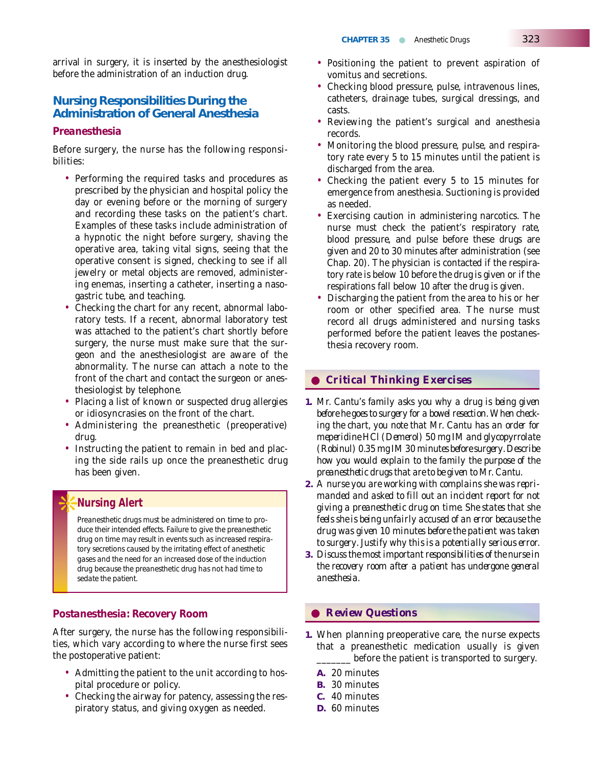arrival in surgery, it is inserted by the anesthesiologist before the administration of an induction drug.

#### **Nursing Responsibilities During the Administration of General Anesthesia**

#### *Preanesthesia*

Before surgery, the nurse has the following responsibilities:

- Performing the required tasks and procedures as prescribed by the physician and hospital policy the day or evening before or the morning of surgery and recording these tasks on the patient's chart. Examples of these tasks include administration of a hypnotic the night before surgery, shaving the operative area, taking vital signs, seeing that the operative consent is signed, checking to see if all jewelry or metal objects are removed, administering enemas, inserting a catheter, inserting a nasogastric tube, and teaching.
- Checking the chart for any recent, abnormal laboratory tests. If a recent, abnormal laboratory test was attached to the patient's chart shortly before surgery, the nurse must make sure that the surgeon and the anesthesiologist are aware of the abnormality. The nurse can attach a note to the front of the chart and contact the surgeon or anesthesiologist by telephone.
- Placing a list of known or suspected drug allergies or idiosyncrasies on the front of the chart.
- Administering the preanesthetic (preoperative) drug.
- Instructing the patient to remain in bed and placing the side rails up once the preanesthetic drug has been given.

#### ❊**Nursing Alert**

*Preanesthetic drugs must be administered* on time *to produce their intended effects. Failure to give the preanesthetic drug on time may result in events such as increased respiratory secretions caused by the irritating effect of anesthetic gases and the need for an increased dose of the induction drug because the preanesthetic drug has not had time to sedate the patient.*

#### *Postanesthesia: Recovery Room*

After surgery, the nurse has the following responsibilities, which vary according to where the nurse first sees the postoperative patient:

- Admitting the patient to the unit according to hospital procedure or policy.
- Checking the airway for patency, assessing the respiratory status, and giving oxygen as needed.
- Positioning the patient to prevent aspiration of vomitus and secretions.
- Checking blood pressure, pulse, intravenous lines, catheters, drainage tubes, surgical dressings, and casts.
- Reviewing the patient's surgical and anesthesia records.
- Monitoring the blood pressure, pulse, and respiratory rate every 5 to 15 minutes until the patient is discharged from the area.
- Checking the patient every 5 to 15 minutes for emergence from anesthesia. Suctioning is provided as needed.
- Exercising caution in administering narcotics. The nurse must check the patient's respiratory rate, blood pressure, and pulse before these drugs are given and 20 to 30 minutes after administration (see Chap. 20). The physician is contacted if the respiratory rate is below 10 before the drug is given or if the respirations fall below 10 after the drug is given.
- Discharging the patient from the area to his or her room or other specified area. The nurse must record all drugs administered and nursing tasks performed before the patient leaves the postanesthesia recovery room.

#### ● *Critical Thinking Exercises*

- **1.** *Mr. Cantu's family asks you why a drug is being given before he goes to surgery for a bowel resection. When checking the chart, you note that Mr. Cantu has an order for meperidine HCl (Demerol) 50 mg IM and glycopyrrolate (Robinul) 0.35 mg IM 30 minutes before surgery. Describe how you would explain to the family the purpose of the preanesthetic drugs that are to be given to Mr. Cantu.*
- **2.** *A nurse you are working with complains she was reprimanded and asked to fill out an incident report for not giving a preanesthetic drug on time. She states that she feels she is being unfairly accused of an error because the drug was given 10 minutes before the patient was taken to surgery. Justify why this is a potentially serious error.*
- **3.** *Discuss the most important responsibilities of the nurse in the recovery room after a patient has undergone general anesthesia.*

#### ● *Review Questions*

- **1.** When planning preoperative care, the nurse expects that a preanesthetic medication usually is given \_\_\_\_\_\_\_ before the patient is transported to surgery.
	- **A.** 20 minutes
	- **B.** 30 minutes
	- **C.** 40 minutes
	- **D.** 60 minutes